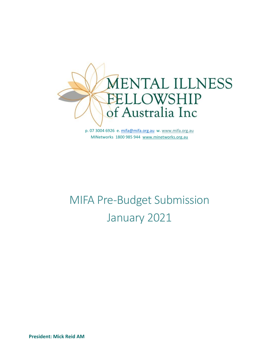

p. 07 3004 6926 e. [mifa@mifa.org.au](mailto:mifa@mifa.org.au) w. [www.mifa.org.au](http://www.mifa.org.au/) MINetworks 1800 985 944 [www.minetworks.org.au](http://www.minetworks.org.au/)

# MIFA Pre-Budget Submission January 2021

**President: Mick Reid AM**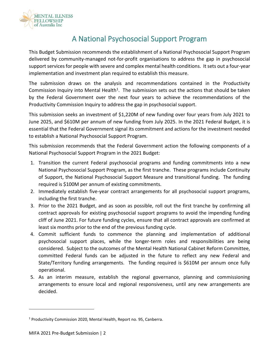

# A National Psychosocial Support Program

This Budget Submission recommends the establishment of a National Psychosocial Support Program delivered by community-managed not-for-profit organisations to address the gap in psychosocial support services for people with severe and complex mental health conditions. It sets out a four-year implementation and investment plan required to establish this measure.

The submission draws on the analysis and recommendations contained in the Productivity Commission Inquiry into Mental Health<sup>1</sup>. The submission sets out the actions that should be taken by the Federal Government over the next four years to achieve the recommendations of the Productivity Commission Inquiry to address the gap in psychosocial support.

This submission seeks an investment of \$1,220M of new funding over four years from July 2021 to June 2025, and \$610M per annum of new funding from July 2025. In the 2021 Federal Budget, it is essential that the Federal Government signal its commitment and actions for the investment needed to establish a National Psychosocial Support Program.

This submission recommends that the Federal Government action the following components of a National Psychosocial Support Program in the 2021 Budget:

- 1. Transition the current Federal psychosocial programs and funding commitments into a new National Psychosocial Support Program, as the first tranche. These programs include Continuity of Support, the National Psychosocial Support Measure and transitional funding. The funding required is \$100M per annum of existing commitments.
- 2. Immediately establish five-year contract arrangements for all psychosocial support programs, including the first tranche.
- 3. Prior to the 2021 Budget, and as soon as possible, roll out the first tranche by confirming all contract approvals for existing psychosocial support programs to avoid the impending funding cliff of June 2021. For future funding cycles, ensure that all contract approvals are confirmed at least six months prior to the end of the previous funding cycle.
- 4. Commit sufficient funds to commence the planning and implementation of additional psychosocial support places, while the longer-term roles and responsibilities are being considered. Subject to the outcomes of the Mental Health National Cabinet Reform Committee, committed Federal funds can be adjusted in the future to reflect any new Federal and State/Territory funding arrangements. The funding required is \$610M per annum once fully operational.
- 5. As an interim measure, establish the regional governance, planning and commissioning arrangements to ensure local and regional responsiveness, until any new arrangements are decided.

<sup>1</sup> Productivity Commission 2020, Mental Health, Report no. 95, Canberra.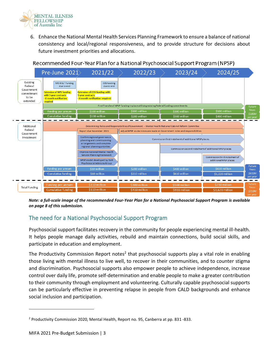

6. Enhance the National Mental Health Services Planning Framework to ensure a balance of national consistency and local/regional responsiveness, and to provide structure for decisions about future investment priorities and allocations.





*Note: a full-scale image of the recommended Four-Year Plan for a National Psychosocial Support Program is available on page 8 of this submission.*

# The need for a National Psychosocial Support Program

Psychosocial support facilitates recovery in the community for people experiencing mental ill-health. It helps people manage daily activities, rebuild and maintain connections, build social skills, and participate in education and employment.

The Productivity Commission Report notes<sup>2</sup> that psychosocial supports play a vital role in enabling those living with mental illness to live well, to recover in their communities, and to counter stigma and discrimination. Psychosocial supports also empower people to achieve independence, increase control over daily life, promote self-determination and enable people to make a greater contribution to their community through employment and volunteering. Culturally capable psychosocial supports can be particularly effective in preventing relapse in people from CALD backgrounds and enhance social inclusion and participation.

<sup>2</sup> Productivity Commission 2020, Mental Health, Report no. 95, Canberra at pp. 831 -833.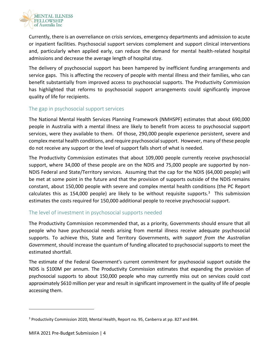

Currently, there is an overreliance on crisis services, emergency departments and admission to acute or inpatient facilities. Psychosocial support services complement and support clinical interventions and, particularly when applied early, can reduce the demand for mental health-related hospital admissions and decrease the average length of hospital stay.

The delivery of psychosocial support has been hampered by inefficient funding arrangements and service gaps. This is affecting the recovery of people with mental illness and their families, who can benefit substantially from improved access to psychosocial supports. The Productivity Commission has highlighted that reforms to psychosocial support arrangements could significantly improve quality of life for recipients.

#### The gap in psychosocial support services

The National Mental Health Services Planning Framework (NMHSPF) estimates that about 690,000 people in Australia with a mental illness are likely to benefit from access to psychosocial support services, were they available to them. Of those, 290,000 people experience persistent, severe and complex mental health conditions, and require psychosocial support. However, many of these people do not receive any support or the level of support falls short of what is needed.

The Productivity Commission estimates that about 109,000 people currently receive psychosocial support, where 34,000 of these people are on the NDIS and 75,000 people are supported by non-NDIS Federal and State/Territory services. Assuming that the cap for the NDIS (64,000 people) will be met at some point in the future and that the provision of supports outside of the NDIS remains constant, about 150,000 people with severe and complex mental health conditions (the PC Report calculates this as 154,000 people) are likely to be without requisite supports.<sup>3</sup> This submission estimates the costs required for 150,000 additional people to receive psychosocial support.

#### The level of investment in psychosocial supports needed

The Productivity Commission recommended that, as a priority, Governments should ensure that all people who have psychosocial needs arising from mental illness receive adequate psychosocial supports. To achieve this, State and Territory Governments, *with support from the Australian Government*, should increase the quantum of funding allocated to psychosocial supports to meet the estimated shortfall.

The estimate of the Federal Government's current commitment for psychosocial support outside the NDIS is \$100M per annum. The Productivity Commission estimates that expanding the provision of psychosocial supports to about 150,000 people who may currently miss out on services could cost approximately \$610 million per year and result in significant improvement in the quality of life of people accessing them.

<sup>3</sup> Productivity Commission 2020, Mental Health, Report no. 95, Canberra at pp. 827 and 844.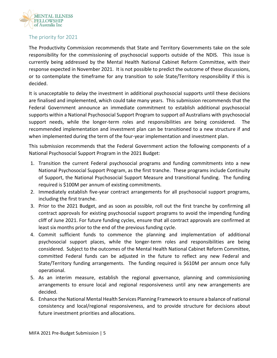

## The priority for 2021

The Productivity Commission recommends that State and Territory Governments take on the sole responsibility for the commissioning of psychosocial supports outside of the NDIS. This issue is currently being addressed by the Mental Health National Cabinet Reform Committee, with their response expected in November 2021. It is not possible to predict the outcome of these discussions, or to contemplate the timeframe for any transition to sole State/Territory responsibility if this is decided.

It is unacceptable to delay the investment in additional psychosocial supports until these decisions are finalised and implemented, which could take many years. This submission recommends that the Federal Government announce an immediate commitment to establish additional psychosocial supports within a National Psychosocial Support Program to support *all* Australians with psychosocial support needs, while the longer-term roles and responsibilities are being considered. The recommended implementation and investment plan can be transitioned to a new structure if and when implemented during the term of the four-year implementation and investment plan.

This submission recommends that the Federal Government action the following components of a National Psychosocial Support Program in the 2021 Budget:

- 1. Transition the current Federal psychosocial programs and funding commitments into a new National Psychosocial Support Program, as the first tranche. These programs include Continuity of Support, the National Psychosocial Support Measure and transitional funding. The funding required is \$100M per annum of existing commitments.
- 2. Immediately establish five-year contract arrangements for all psychosocial support programs, including the first tranche.
- 3. Prior to the 2021 Budget, and as soon as possible, roll out the first tranche by confirming all contract approvals for existing psychosocial support programs to avoid the impending funding cliff of June 2021. For future funding cycles, ensure that all contract approvals are confirmed at least six months prior to the end of the previous funding cycle.
- 4. Commit sufficient funds to commence the planning and implementation of additional psychosocial support places, while the longer-term roles and responsibilities are being considered. Subject to the outcomes of the Mental Health National Cabinet Reform Committee, committed Federal funds can be adjusted in the future to reflect any new Federal and State/Territory funding arrangements. The funding required is \$610M per annum once fully operational.
- 5. As an interim measure, establish the regional governance, planning and commissioning arrangements to ensure local and regional responsiveness until any new arrangements are decided.
- 6. Enhance the National Mental Health Services Planning Framework to ensure a balance of national consistency and local/regional responsiveness, and to provide structure for decisions about future investment priorities and allocations.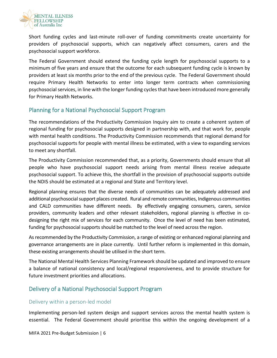

Short funding cycles and last-minute roll-over of funding commitments create uncertainty for providers of psychosocial supports, which can negatively affect consumers, carers and the psychosocial support workforce.

The Federal Government should extend the funding cycle length for psychosocial supports to a minimum of five years and ensure that the outcome for each subsequent funding cycle is known by providers at least six months prior to the end of the previous cycle. The Federal Government should require Primary Health Networks to enter into longer term contracts when commissioning psychosocial services, in line with the longer funding cycles that have been introduced more generally for Primary Health Networks.

# Planning for a National Psychosocial Support Program

The recommendations of the Productivity Commission Inquiry aim to create a coherent system of regional funding for psychosocial supports designed in partnership with, and that work for, people with mental health conditions. The Productivity Commission recommends that regional demand for psychosocial supports for people with mental illness be estimated, with a view to expanding services to meet any shortfall.

The Productivity Commission recommended that, as a priority, Governments should ensure that all people who have psychosocial support needs arising from mental illness receive adequate psychosocial support. To achieve this, the shortfall in the provision of psychosocial supports outside the NDIS should be estimated at a regional and State and Territory level.

Regional planning ensures that the diverse needs of communities can be adequately addressed and additional psychosocial support places created. Rural and remote communities, Indigenous communities and CALD communities have different needs. By effectively engaging consumers, carers, service providers, community leaders and other relevant stakeholders, regional planning is effective in codesigning the right mix of services for each community. Once the level of need has been estimated, funding for psychosocial supports should be matched to the level of need across the region.

As recommended by the Productivity Commission, a range of existing or enhanced regional planning and governance arrangements are in place currently. Until further reform is implemented in this domain, these existing arrangements should be utilised in the short term.

The National Mental Health Services Planning Framework should be updated and improved to ensure a balance of national consistency and local/regional responsiveness, and to provide structure for future investment priorities and allocations.

# Delivery of a National Psychosocial Support Program

#### Delivery within a person-led model

Implementing person-led system design and support services across the mental health system is essential. The Federal Government should prioritise this within the ongoing development of a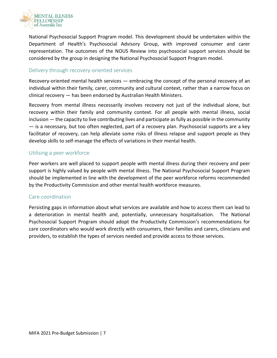

National Psychosocial Support Program model. This development should be undertaken within the Department of Health's Psychosocial Advisory Group, with improved consumer and carer representation. The outcomes of the NOUS Review into psychosocial support services should be considered by the group in designing the National Psychosocial Support Program model.

#### Delivery through recovery-oriented services

Recovery-oriented mental health services — embracing the concept of the personal recovery of an individual within their family, carer, community and cultural context, rather than a narrow focus on clinical recovery — has been endorsed by Australian Health Ministers.

Recovery from mental illness necessarily involves recovery not just of the individual alone, but recovery within their family and community context. For all people with mental illness, social inclusion — the capacity to live contributing lives and participate as fully as possible in the community — is a necessary, but too often neglected, part of a recovery plan. Psychosocial supports are a key facilitator of recovery, can help alleviate some risks of illness relapse and support people as they develop skills to self-manage the effects of variations in their mental health.

#### Utilising a peer workforce

Peer workers are well placed to support people with mental illness during their recovery and peer support is highly valued by people with mental illness. The National Psychosocial Support Program should be implemented in line with the development of the peer workforce reforms recommended by the Productivity Commission and other mental health workforce measures.

#### Care coordination

Persisting gaps in information about what services are available and how to access them can lead to a deterioration in mental health and, potentially, unnecessary hospitalisation. The National Psychosocial Support Program should adopt the Productivity Commission's recommendations for care coordinators who would work directly with consumers, their families and carers, clinicians and providers, to establish the types of services needed and provide access to those services.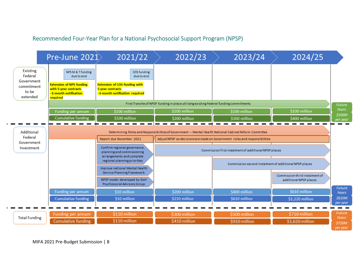# Recommended Four-Year Plan for a National Psychosocial Support Program (NPSP)



MIFA 2021 Pre-Budget Submission | 8